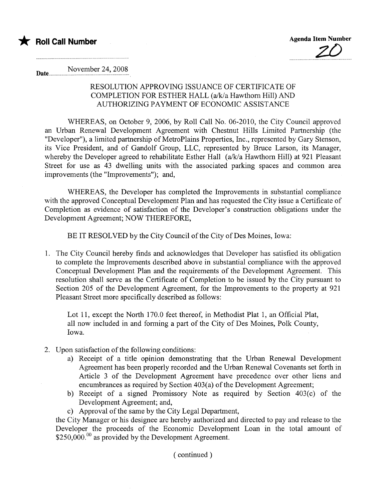

November 24, 2008 Date..............

## RESOLUTION APPROVING ISSUANCE OF CERTIFICATE OF COMPLETION FOR ESTHER HALL (a/k/a Hawthorn Hill) AND AUTHORIZING PAYMENT OF ECONOMIC ASSISTANCE

WHEREAS, on October 9, 2006, by Roll Call No. 06-2010, the City Council approved an Urban Renewal Development Agreement with Chestnut Hills Limited Partnership (the "Developer"), a limited partnership of MetroPlains Properties, Inc., represented by Gary Stenson, its Vice President, and of Gandolf Group, LLC, represented by Bruce Larson, its Manager, whereby the Developer agreed to rehabilitate Esther Hall (a/k/a Hawthorn Hill) at 921 Pleasant Street for use as 43 dwelling units with the associated parking spaces and common area improvements (the "Improvements"); and,

WHEREAS, the Developer has completed the Improvements in substantial compliance with the approved Conceptual Development Plan and has requested the City issue a Certificate of Completion as evidence of satisfaction of the Developer's construction obligations under the Development Agreement; NOW THEREFORE,

BE IT RESOLVED by the City Council of the City of Des Moines, Iowa:

1. The City Council hereby finds and acknowledges that Developer has satisfied its obligation to complete the Improvements described above in substantial compliance with the approved Conceptual Development Plan and the requirements of the Development Agreement. This resolution shall serve as the Certificate of Completion to be issued by the City pursuant to Section 205 of the Development Agreement, for the Improvements to the property at 921 Pleasant Street more specifically described as follows:

Lot 11, except the North 170.0 feet thereof, in Methodist Plat 1, an Official Plat, all now included in and forming a part of the City of Des Moines, Polk County, Iowa.

- 2. Upon satisfaction of the following conditions:
	- a) Receipt of a title opinion demonstrating that the Urban Renewal Development Agreement has been properly recorded and the Urban Renewal Covenants set forth in Aricle 3 of the Development Agreement have precedence over other liens and encumbrances as required by Section 403(a) of the Development Agreement;
	- b) Receipt of a signed Promissory Note as required by Section  $403(c)$  of the Development Agreement; and,
	- c) Approval of the same by the City Legal Department,

the City Manager or his designee are hereby authorized and directed to pay and release to the Developer the proceeds of the Economic Development Loan in the total amount of  $$250,000$ .<sup>00</sup> as provided by the Development Agreement.

( continued)